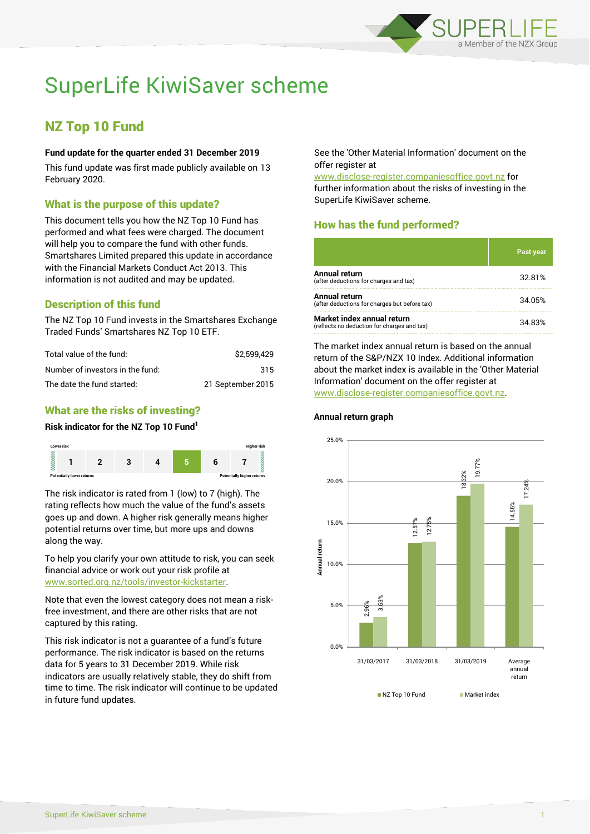

# SuperLife KiwiSaver scheme

## NZ Top 10 Fund

#### **Fund update for the quarter ended 31 December 2019**

This fund update was first made publicly available on 13 February 2020.

#### What is the purpose of this update?

This document tells you how the NZ Top 10 Fund has performed and what fees were charged. The document will help you to compare the fund with other funds. Smartshares Limited prepared this update in accordance with the Financial Markets Conduct Act 2013. This information is not audited and may be updated.

## Description of this fund

The NZ Top 10 Fund invests in the Smartshares Exchange Traded Funds' Smartshares NZ Top 10 ETF.

| Total value of the fund:         | \$2.599.429       |
|----------------------------------|-------------------|
| Number of investors in the fund: | 315               |
| The date the fund started:       | 21 September 2015 |

## What are the risks of investing?

#### **Risk indicator for the NZ Top 10 Fund<sup>1</sup>**



The risk indicator is rated from 1 (low) to 7 (high). The rating reflects how much the value of the fund's assets goes up and down. A higher risk generally means higher potential returns over time, but more ups and downs along the way.

To help you clarify your own attitude to risk, you can seek financial advice or work out your risk profile at [www.sorted.org.nz/tools/investor-kickstarter.](http://www.sorted.org.nz/tools/investor-kickstarter)

Note that even the lowest category does not mean a riskfree investment, and there are other risks that are not captured by this rating.

This risk indicator is not a guarantee of a fund's future performance. The risk indicator is based on the returns data for 5 years to 31 December 2019. While risk indicators are usually relatively stable, they do shift from time to time. The risk indicator will continue to be updated in future fund updates.

See the 'Other Material Information' document on the offer register at

www.disclose-register.companiesoffice.govt.nz for further information about the risks of investing in the SuperLife KiwiSaver scheme.

## How has the fund performed?

|                                                                           | Past year |
|---------------------------------------------------------------------------|-----------|
| Annual return<br>(after deductions for charges and tax)                   | 32.81%    |
| Annual return<br>(after deductions for charges but before tax)            | 34.05%    |
| Market index annual return<br>(reflects no deduction for charges and tax) | 34.83%    |

The market index annual return is based on the annual return of the S&P/NZX 10 Index. Additional information about the market index is available in the 'Other Material Information' document on the offer register at www.disclose-register.companiesoffice.govt.nz.



#### **Annual return graph**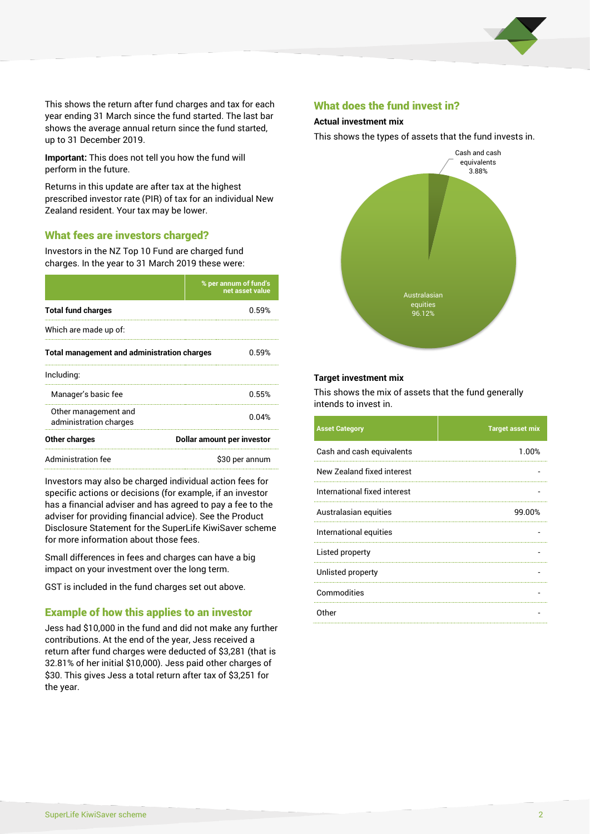

This shows the return after fund charges and tax for each year ending 31 March since the fund started. The last bar shows the average annual return since the fund started, up to 31 December 2019.

**Important:** This does not tell you how the fund will perform in the future.

Returns in this update are after tax at the highest prescribed investor rate (PIR) of tax for an individual New Zealand resident. Your tax may be lower.

#### What fees are investors charged?

Investors in the NZ Top 10 Fund are charged fund charges. In the year to 31 March 2019 these were:

|                                                    | % per annum of fund's<br>net asset value |  |  |
|----------------------------------------------------|------------------------------------------|--|--|
| <b>Total fund charges</b>                          | በ 59%                                    |  |  |
| Which are made up of:                              |                                          |  |  |
| <b>Total management and administration charges</b> | 0.59%                                    |  |  |
| Including:                                         |                                          |  |  |
| Manager's basic fee                                | 0.55%                                    |  |  |
| Other management and<br>administration charges     | 0.04%                                    |  |  |
| Other charges                                      | Dollar amount per investor               |  |  |
| Administration fee                                 | \$30 per annum                           |  |  |

Investors may also be charged individual action fees for specific actions or decisions (for example, if an investor has a financial adviser and has agreed to pay a fee to the adviser for providing financial advice). See the Product Disclosure Statement for the SuperLife KiwiSaver scheme for more information about those fees.

Small differences in fees and charges can have a big impact on your investment over the long term.

GST is included in the fund charges set out above.

#### Example of how this applies to an investor

Jess had \$10,000 in the fund and did not make any further contributions. At the end of the year, Jess received a return after fund charges were deducted of \$3,281 (that is 32.81% of her initial \$10,000). Jess paid other charges of \$30. This gives Jess a total return after tax of \$3,251 for the year.

#### What does the fund invest in?

#### **Actual investment mix**

This shows the types of assets that the fund invests in.



#### **Target investment mix**

This shows the mix of assets that the fund generally intends to invest in.

| <b>Asset Category</b>        | <b>Target asset mix</b> |
|------------------------------|-------------------------|
| Cash and cash equivalents    | 1.00%                   |
| New Zealand fixed interest   |                         |
| International fixed interest |                         |
| Australasian equities        | 99.00%                  |
| International equities       |                         |
| Listed property              |                         |
| Unlisted property            |                         |
| Commodities                  |                         |
| Other                        |                         |